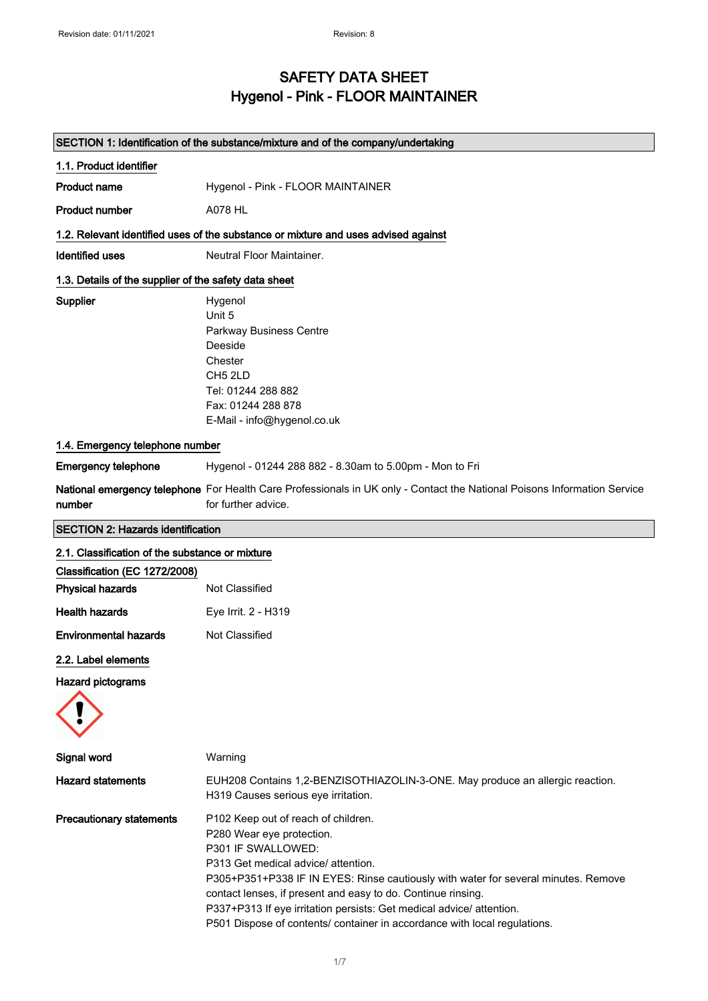## SAFETY DATA SHEET Hygenol - Pink - FLOOR MAINTAINER

|                                                       | SECTION 1: Identification of the substance/mixture and of the company/undertaking                                                                                                                                                                                                                                                                                                                                                        |  |
|-------------------------------------------------------|------------------------------------------------------------------------------------------------------------------------------------------------------------------------------------------------------------------------------------------------------------------------------------------------------------------------------------------------------------------------------------------------------------------------------------------|--|
| 1.1. Product identifier                               |                                                                                                                                                                                                                                                                                                                                                                                                                                          |  |
| <b>Product name</b>                                   | Hygenol - Pink - FLOOR MAINTAINER                                                                                                                                                                                                                                                                                                                                                                                                        |  |
| <b>Product number</b>                                 | <b>A078 HL</b>                                                                                                                                                                                                                                                                                                                                                                                                                           |  |
|                                                       | 1.2. Relevant identified uses of the substance or mixture and uses advised against                                                                                                                                                                                                                                                                                                                                                       |  |
| <b>Identified uses</b>                                | Neutral Floor Maintainer.                                                                                                                                                                                                                                                                                                                                                                                                                |  |
| 1.3. Details of the supplier of the safety data sheet |                                                                                                                                                                                                                                                                                                                                                                                                                                          |  |
| Supplier                                              | Hygenol<br>Unit 5<br>Parkway Business Centre<br>Deeside<br>Chester<br>CH5 2LD<br>Tel: 01244 288 882<br>Fax: 01244 288 878<br>E-Mail - info@hygenol.co.uk                                                                                                                                                                                                                                                                                 |  |
| 1.4. Emergency telephone number                       |                                                                                                                                                                                                                                                                                                                                                                                                                                          |  |
| <b>Emergency telephone</b>                            | Hygenol - 01244 288 882 - 8.30am to 5.00pm - Mon to Fri                                                                                                                                                                                                                                                                                                                                                                                  |  |
| number                                                | National emergency telephone For Health Care Professionals in UK only - Contact the National Poisons Information Service<br>for further advice.                                                                                                                                                                                                                                                                                          |  |
| <b>SECTION 2: Hazards identification</b>              |                                                                                                                                                                                                                                                                                                                                                                                                                                          |  |
| 2.1. Classification of the substance or mixture       |                                                                                                                                                                                                                                                                                                                                                                                                                                          |  |
| Classification (EC 1272/2008)                         |                                                                                                                                                                                                                                                                                                                                                                                                                                          |  |
| <b>Physical hazards</b>                               | Not Classified                                                                                                                                                                                                                                                                                                                                                                                                                           |  |
| <b>Health hazards</b>                                 | Eye Irrit. 2 - H319                                                                                                                                                                                                                                                                                                                                                                                                                      |  |
| <b>Environmental hazards</b>                          | Not Classified                                                                                                                                                                                                                                                                                                                                                                                                                           |  |
| 2.2. Label elements                                   |                                                                                                                                                                                                                                                                                                                                                                                                                                          |  |
| <b>Hazard pictograms</b>                              |                                                                                                                                                                                                                                                                                                                                                                                                                                          |  |
|                                                       |                                                                                                                                                                                                                                                                                                                                                                                                                                          |  |
| Signal word                                           | Warning                                                                                                                                                                                                                                                                                                                                                                                                                                  |  |
| <b>Hazard statements</b>                              | EUH208 Contains 1,2-BENZISOTHIAZOLIN-3-ONE. May produce an allergic reaction.<br>H319 Causes serious eye irritation.                                                                                                                                                                                                                                                                                                                     |  |
| <b>Precautionary statements</b>                       | P102 Keep out of reach of children.<br>P280 Wear eye protection.<br>P301 IF SWALLOWED:<br>P313 Get medical advice/ attention.<br>P305+P351+P338 IF IN EYES: Rinse cautiously with water for several minutes. Remove<br>contact lenses, if present and easy to do. Continue rinsing.<br>P337+P313 If eye irritation persists: Get medical advice/ attention.<br>P501 Dispose of contents/ container in accordance with local regulations. |  |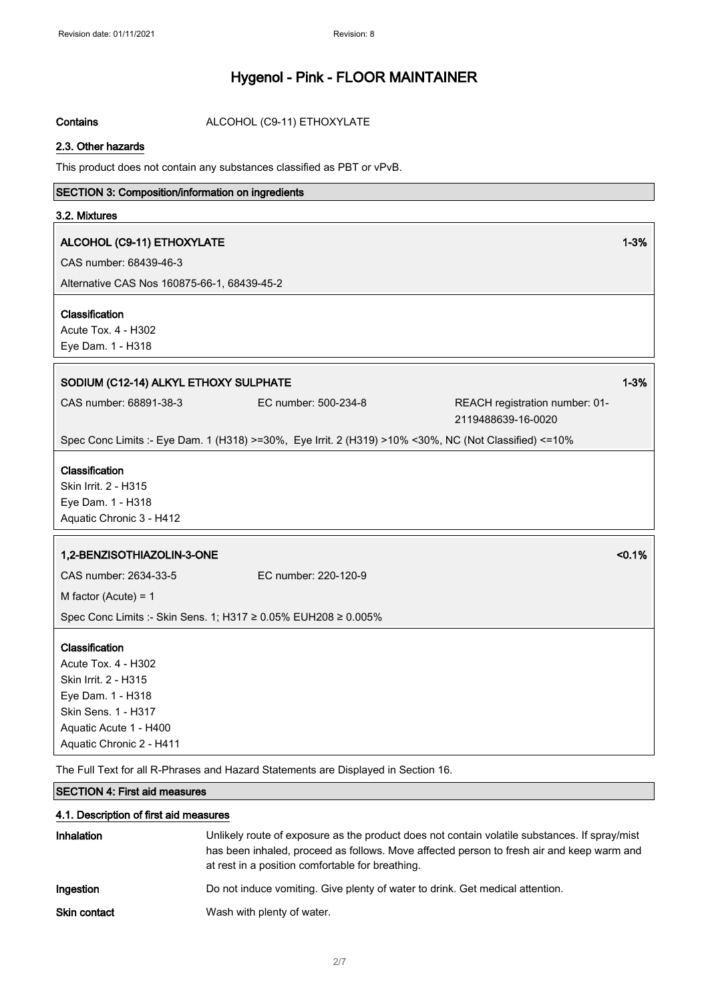Contains **ALCOHOL** (C9-11) ETHOXYLATE

#### 2.3. Other hazards

This product does not contain any substances classified as PBT or vPvB.

#### SECTION 3: Composition/information on ingredients

#### 3.2. Mixtures

#### ALCOHOL (C9-11) ETHOXYLATE 1-3%

CAS number: 68439-46-3

Alternative CAS Nos 160875-66-1, 68439-45-2

#### Classification

Acute Tox. 4 - H302 Eye Dam. 1 - H318

#### SODIUM (C12-14) ALKYL ETHOXY SULPHATE 1 2000 1 2000 1 2000 1 2000 1 2000 1 2000 1 2000 1 2000 1 2000 1 2000 1 2000 1 2000 1 2000 1 2000 1 2000 1 2000 1 2000 1 2000 1 2000 1 2000 1 2000 1 2000 1 2000 1 2000 1 2000 1 2000 1

CAS number: 68891-38-3 EC number: 500-234-8 REACH registration number: 01- 2119488639-16-0020

Spec Conc Limits :- Eye Dam. 1 (H318) >=30%, Eye Irrit. 2 (H319) >10% <30%, NC (Not Classified) <=10%

#### Classification

Skin Irrit. 2 - H315 Eye Dam. 1 - H318 Aquatic Chronic 3 - H412

# 1,2-BENZISOTHIAZOLIN-3-ONE <0.1%

CAS number: 2634-33-5 EC number: 220-120-9

M factor (Acute) = 1

Spec Conc Limits :- Skin Sens. 1; H317 ≥ 0.05% EUH208 ≥ 0.005%

#### Classification

Acute Tox. 4 - H302 Skin Irrit. 2 - H315 Eye Dam. 1 - H318 Skin Sens. 1 - H317 Aquatic Acute 1 - H400 Aquatic Chronic 2 - H411

The Full Text for all R-Phrases and Hazard Statements are Displayed in Section 16.

#### SECTION 4: First aid measures

#### 4.1. Description of first aid measures

| <b>Inhalation</b>   | Unlikely route of exposure as the product does not contain volatile substances. If spray/mist<br>has been inhaled, proceed as follows. Move affected person to fresh air and keep warm and<br>at rest in a position comfortable for breathing. |
|---------------------|------------------------------------------------------------------------------------------------------------------------------------------------------------------------------------------------------------------------------------------------|
| Ingestion           | Do not induce vomiting. Give plenty of water to drink. Get medical attention.                                                                                                                                                                  |
| <b>Skin contact</b> | Wash with plenty of water.                                                                                                                                                                                                                     |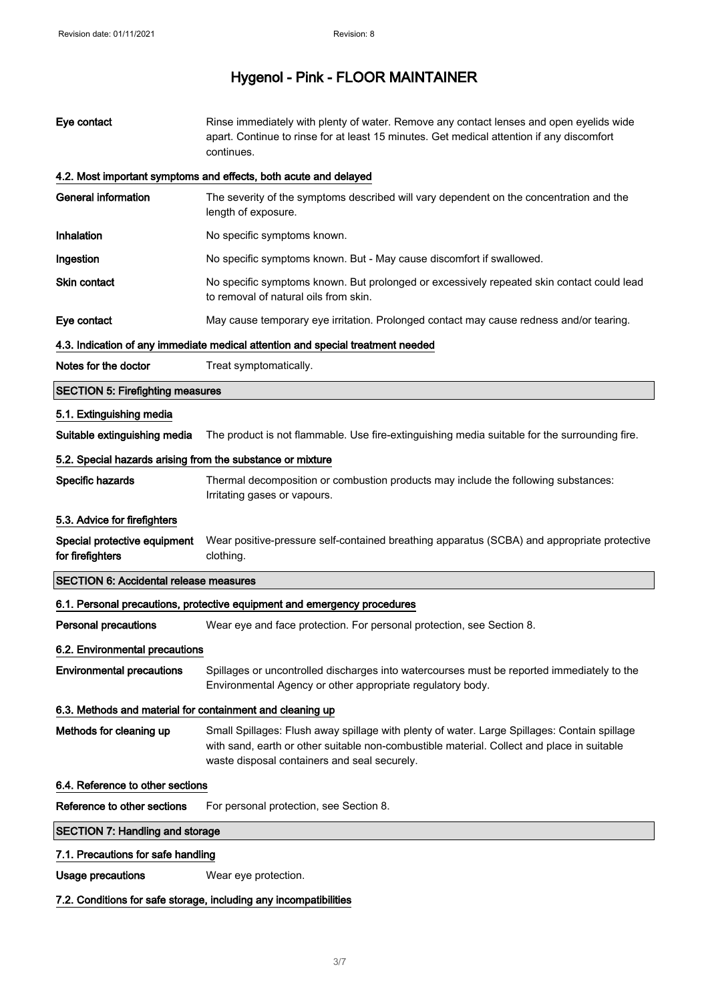| Eye contact                                                | Rinse immediately with plenty of water. Remove any contact lenses and open eyelids wide<br>apart. Continue to rinse for at least 15 minutes. Get medical attention if any discomfort<br>continues.                                         |  |
|------------------------------------------------------------|--------------------------------------------------------------------------------------------------------------------------------------------------------------------------------------------------------------------------------------------|--|
|                                                            | 4.2. Most important symptoms and effects, both acute and delayed                                                                                                                                                                           |  |
| <b>General information</b>                                 | The severity of the symptoms described will vary dependent on the concentration and the<br>length of exposure.                                                                                                                             |  |
| Inhalation                                                 | No specific symptoms known.                                                                                                                                                                                                                |  |
| Ingestion                                                  | No specific symptoms known. But - May cause discomfort if swallowed.                                                                                                                                                                       |  |
| Skin contact                                               | No specific symptoms known. But prolonged or excessively repeated skin contact could lead<br>to removal of natural oils from skin.                                                                                                         |  |
| Eye contact                                                | May cause temporary eye irritation. Prolonged contact may cause redness and/or tearing.                                                                                                                                                    |  |
|                                                            | 4.3. Indication of any immediate medical attention and special treatment needed                                                                                                                                                            |  |
| Notes for the doctor                                       | Treat symptomatically.                                                                                                                                                                                                                     |  |
| <b>SECTION 5: Firefighting measures</b>                    |                                                                                                                                                                                                                                            |  |
| 5.1. Extinguishing media                                   |                                                                                                                                                                                                                                            |  |
| Suitable extinguishing media                               | The product is not flammable. Use fire-extinguishing media suitable for the surrounding fire.                                                                                                                                              |  |
| 5.2. Special hazards arising from the substance or mixture |                                                                                                                                                                                                                                            |  |
| Specific hazards                                           | Thermal decomposition or combustion products may include the following substances:<br>Irritating gases or vapours.                                                                                                                         |  |
| 5.3. Advice for firefighters                               |                                                                                                                                                                                                                                            |  |
| Special protective equipment<br>for firefighters           | Wear positive-pressure self-contained breathing apparatus (SCBA) and appropriate protective<br>clothing.                                                                                                                                   |  |
| <b>SECTION 6: Accidental release measures</b>              |                                                                                                                                                                                                                                            |  |
|                                                            | 6.1. Personal precautions, protective equipment and emergency procedures                                                                                                                                                                   |  |
| <b>Personal precautions</b>                                | Wear eye and face protection. For personal protection, see Section 8.                                                                                                                                                                      |  |
| 6.2. Environmental precautions                             |                                                                                                                                                                                                                                            |  |
| <b>Environmental precautions</b>                           | Spillages or uncontrolled discharges into watercourses must be reported immediately to the<br>Environmental Agency or other appropriate regulatory body.                                                                                   |  |
|                                                            | 6.3. Methods and material for containment and cleaning up                                                                                                                                                                                  |  |
| Methods for cleaning up                                    | Small Spillages: Flush away spillage with plenty of water. Large Spillages: Contain spillage<br>with sand, earth or other suitable non-combustible material. Collect and place in suitable<br>waste disposal containers and seal securely. |  |
|                                                            | 6.4. Reference to other sections                                                                                                                                                                                                           |  |
| Reference to other sections                                | For personal protection, see Section 8.                                                                                                                                                                                                    |  |
| <b>SECTION 7: Handling and storage</b>                     |                                                                                                                                                                                                                                            |  |
| 7.1. Precautions for safe handling                         |                                                                                                                                                                                                                                            |  |
| <b>Usage precautions</b>                                   | Wear eye protection.                                                                                                                                                                                                                       |  |

7.2. Conditions for safe storage, including any incompatibilities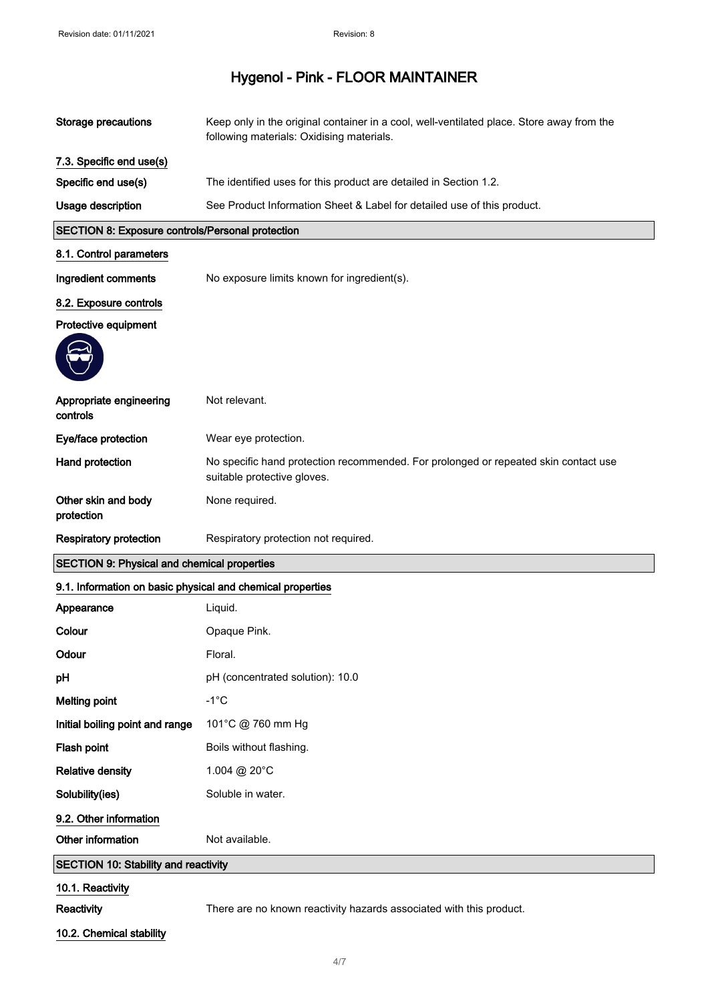| <b>Storage precautions</b>                                 | Keep only in the original container in a cool, well-ventilated place. Store away from the<br>following materials: Oxidising materials. |
|------------------------------------------------------------|----------------------------------------------------------------------------------------------------------------------------------------|
| 7.3. Specific end use(s)                                   |                                                                                                                                        |
| Specific end use(s)                                        | The identified uses for this product are detailed in Section 1.2.                                                                      |
| Usage description                                          | See Product Information Sheet & Label for detailed use of this product.                                                                |
| SECTION 8: Exposure controls/Personal protection           |                                                                                                                                        |
| 8.1. Control parameters                                    |                                                                                                                                        |
| Ingredient comments                                        | No exposure limits known for ingredient(s).                                                                                            |
| 8.2. Exposure controls                                     |                                                                                                                                        |
| Protective equipment                                       |                                                                                                                                        |
|                                                            |                                                                                                                                        |
| Appropriate engineering<br>controls                        | Not relevant.                                                                                                                          |
| Eye/face protection                                        | Wear eye protection.                                                                                                                   |
| Hand protection                                            | No specific hand protection recommended. For prolonged or repeated skin contact use<br>suitable protective gloves.                     |
| Other skin and body<br>protection                          | None required.                                                                                                                         |
|                                                            |                                                                                                                                        |
| <b>Respiratory protection</b>                              | Respiratory protection not required.                                                                                                   |
| <b>SECTION 9: Physical and chemical properties</b>         |                                                                                                                                        |
| 9.1. Information on basic physical and chemical properties |                                                                                                                                        |
| Appearance                                                 | Liquid.                                                                                                                                |
| Colour                                                     | Opaque Pink.                                                                                                                           |
| Odour                                                      | Floral.                                                                                                                                |
| pH                                                         | pH (concentrated solution): 10.0                                                                                                       |
| <b>Melting point</b>                                       | $-1^{\circ}C$                                                                                                                          |
| Initial boiling point and range                            | 101°C @ 760 mm Hg                                                                                                                      |
| Flash point                                                | Boils without flashing.                                                                                                                |
| <b>Relative density</b>                                    | 1.004 @ 20°C                                                                                                                           |
| Solubility(ies)                                            | Soluble in water.                                                                                                                      |
| 9.2. Other information                                     |                                                                                                                                        |
| Other information                                          | Not available.                                                                                                                         |
| <b>SECTION 10: Stability and reactivity</b>                |                                                                                                                                        |
| 10.1. Reactivity                                           |                                                                                                                                        |

10.2. Chemical stability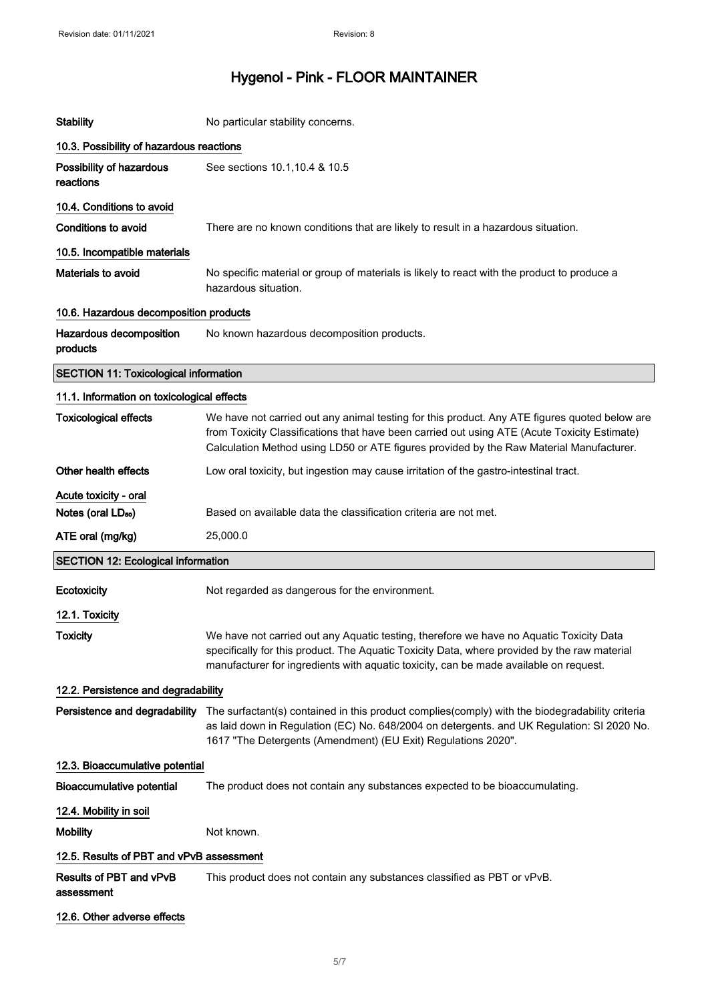| <b>Stability</b>                             | No particular stability concerns.                                                                                                                                                                                                                                                        |  |
|----------------------------------------------|------------------------------------------------------------------------------------------------------------------------------------------------------------------------------------------------------------------------------------------------------------------------------------------|--|
| 10.3. Possibility of hazardous reactions     |                                                                                                                                                                                                                                                                                          |  |
| Possibility of hazardous<br>reactions        | See sections 10.1, 10.4 & 10.5                                                                                                                                                                                                                                                           |  |
| 10.4. Conditions to avoid                    |                                                                                                                                                                                                                                                                                          |  |
| Conditions to avoid                          | There are no known conditions that are likely to result in a hazardous situation.                                                                                                                                                                                                        |  |
| 10.5. Incompatible materials                 |                                                                                                                                                                                                                                                                                          |  |
| Materials to avoid                           | No specific material or group of materials is likely to react with the product to produce a<br>hazardous situation.                                                                                                                                                                      |  |
| 10.6. Hazardous decomposition products       |                                                                                                                                                                                                                                                                                          |  |
| Hazardous decomposition<br>products          | No known hazardous decomposition products.                                                                                                                                                                                                                                               |  |
| <b>SECTION 11: Toxicological information</b> |                                                                                                                                                                                                                                                                                          |  |
| 11.1. Information on toxicological effects   |                                                                                                                                                                                                                                                                                          |  |
| <b>Toxicological effects</b>                 | We have not carried out any animal testing for this product. Any ATE figures quoted below are<br>from Toxicity Classifications that have been carried out using ATE (Acute Toxicity Estimate)<br>Calculation Method using LD50 or ATE figures provided by the Raw Material Manufacturer. |  |
| Other health effects                         | Low oral toxicity, but ingestion may cause irritation of the gastro-intestinal tract.                                                                                                                                                                                                    |  |
| Acute toxicity - oral                        |                                                                                                                                                                                                                                                                                          |  |
| Notes (oral LD <sub>50</sub> )               | Based on available data the classification criteria are not met.                                                                                                                                                                                                                         |  |
| ATE oral (mg/kg)                             | 25,000.0                                                                                                                                                                                                                                                                                 |  |
| <b>SECTION 12: Ecological information</b>    |                                                                                                                                                                                                                                                                                          |  |
| Ecotoxicity                                  | Not regarded as dangerous for the environment.                                                                                                                                                                                                                                           |  |
| 12.1. Toxicity                               |                                                                                                                                                                                                                                                                                          |  |
| <b>Toxicity</b>                              | We have not carried out any Aquatic testing, therefore we have no Aquatic Toxicity Data<br>specifically for this product. The Aquatic Toxicity Data, where provided by the raw material<br>manufacturer for ingredients with aquatic toxicity, can be made available on request.         |  |
| 12.2. Persistence and degradability          |                                                                                                                                                                                                                                                                                          |  |
| Persistence and degradability                | The surfactant(s) contained in this product complies(comply) with the biodegradability criteria<br>as laid down in Regulation (EC) No. 648/2004 on detergents. and UK Regulation: SI 2020 No.<br>1617 "The Detergents (Amendment) (EU Exit) Regulations 2020".                           |  |
| 12.3. Bioaccumulative potential              |                                                                                                                                                                                                                                                                                          |  |
| <b>Bioaccumulative potential</b>             | The product does not contain any substances expected to be bioaccumulating.                                                                                                                                                                                                              |  |
| 12.4. Mobility in soil                       |                                                                                                                                                                                                                                                                                          |  |
| <b>Mobility</b>                              | Not known.                                                                                                                                                                                                                                                                               |  |
| 12.5. Results of PBT and vPvB assessment     |                                                                                                                                                                                                                                                                                          |  |
|                                              |                                                                                                                                                                                                                                                                                          |  |
| Results of PBT and vPvB<br>assessment        | This product does not contain any substances classified as PBT or vPvB.                                                                                                                                                                                                                  |  |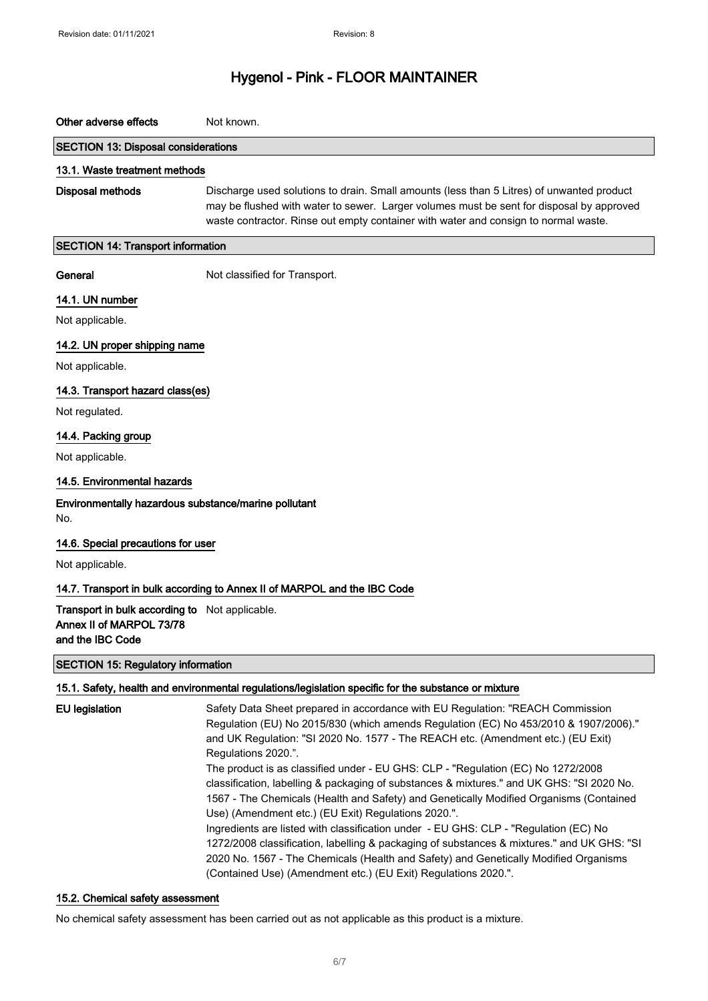#### Other adverse effects Not known.

#### SECTION 13: Disposal considerations

#### 13.1. Waste treatment methods

Disposal methods Discharge used solutions to drain. Small amounts (less than 5 Litres) of unwanted product may be flushed with water to sewer. Larger volumes must be sent for disposal by approved waste contractor. Rinse out empty container with water and consign to normal waste.

#### SECTION 14: Transport information

General Not classified for Transport.

#### 14.1. UN number

Not applicable.

14.2. UN proper shipping name

Not applicable.

#### 14.3. Transport hazard class(es)

Not regulated.

#### 14.4. Packing group

Not applicable.

#### 14.5. Environmental hazards

### Environmentally hazardous substance/marine pollutant

No.

#### 14.6. Special precautions for user

Not applicable.

### 14.7. Transport in bulk according to Annex II of MARPOL and the IBC Code

Transport in bulk according to Not applicable. Annex II of MARPOL 73/78 and the IBC Code

#### SECTION 15: Regulatory information

#### 15.1. Safety, health and environmental regulations/legislation specific for the substance or mixture

| EU legislation | Safety Data Sheet prepared in accordance with EU Regulation: "REACH Commission<br>Regulation (EU) No 2015/830 (which amends Regulation (EC) No 453/2010 & 1907/2006)." |
|----------------|------------------------------------------------------------------------------------------------------------------------------------------------------------------------|
|                | and UK Regulation: "SI 2020 No. 1577 - The REACH etc. (Amendment etc.) (EU Exit)                                                                                       |
|                | Regulations 2020.".                                                                                                                                                    |
|                | The product is as classified under - EU GHS: CLP - "Regulation (EC) No 1272/2008                                                                                       |
|                | classification, labelling & packaging of substances & mixtures." and UK GHS: "SI 2020 No.                                                                              |
|                | 1567 - The Chemicals (Health and Safety) and Genetically Modified Organisms (Contained                                                                                 |
|                | Use) (Amendment etc.) (EU Exit) Regulations 2020.".                                                                                                                    |
|                | Ingredients are listed with classification under - EU GHS: CLP - "Regulation (EC) No                                                                                   |
|                | 1272/2008 classification, labelling & packaging of substances & mixtures." and UK GHS: "SI                                                                             |
|                | 2020 No. 1567 - The Chemicals (Health and Safety) and Genetically Modified Organisms                                                                                   |
|                | (Contained Use) (Amendment etc.) (EU Exit) Regulations 2020.".                                                                                                         |

#### 15.2. Chemical safety assessment

No chemical safety assessment has been carried out as not applicable as this product is a mixture.